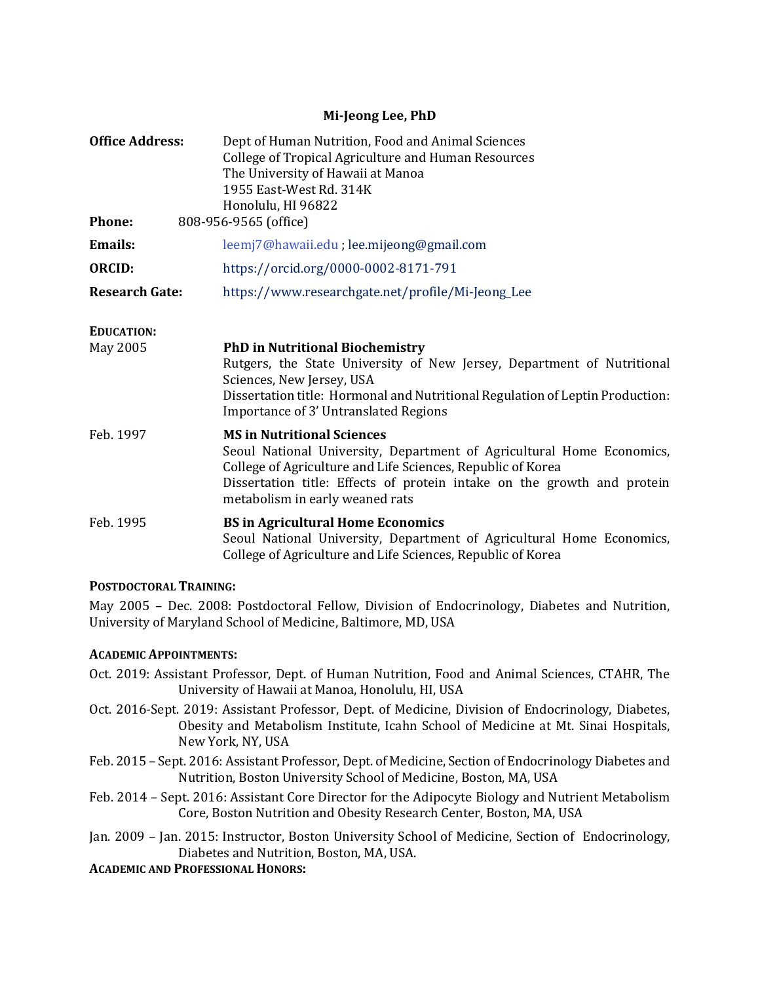## **Mi-Jeong Lee, PhD**

| <b>Office Address:</b>                 | Dept of Human Nutrition, Food and Animal Sciences<br>College of Tropical Agriculture and Human Resources<br>The University of Hawaii at Manoa<br>1955 East-West Rd. 314K<br>Honolulu, HI 96822                                                                                          |
|----------------------------------------|-----------------------------------------------------------------------------------------------------------------------------------------------------------------------------------------------------------------------------------------------------------------------------------------|
| <b>Phone:</b><br>808-956-9565 (office) |                                                                                                                                                                                                                                                                                         |
| <b>Emails:</b>                         | leemj7@hawaii.edu; lee.mijeong@gmail.com                                                                                                                                                                                                                                                |
| <b>ORCID:</b>                          | https://orcid.org/0000-0002-8171-791                                                                                                                                                                                                                                                    |
| <b>Research Gate:</b>                  | https://www.researchgate.net/profile/Mi-Jeong_Lee                                                                                                                                                                                                                                       |
| <b>EDUCATION:</b><br>May 2005          | <b>PhD in Nutritional Biochemistry</b><br>Rutgers, the State University of New Jersey, Department of Nutritional<br>Sciences, New Jersey, USA<br>Dissertation title: Hormonal and Nutritional Regulation of Leptin Production:<br>Importance of 3' Untranslated Regions                 |
| Feb. 1997                              | <b>MS in Nutritional Sciences</b><br>Seoul National University, Department of Agricultural Home Economics,<br>College of Agriculture and Life Sciences, Republic of Korea<br>Dissertation title: Effects of protein intake on the growth and protein<br>metabolism in early weaned rats |
| Feb. 1995                              | <b>BS</b> in Agricultural Home Economics<br>Seoul National University, Department of Agricultural Home Economics,<br>College of Agriculture and Life Sciences, Republic of Korea                                                                                                        |

## **POSTDOCTORAL TRAINING:**

May 2005 – Dec. 2008: Postdoctoral Fellow, Division of Endocrinology, Diabetes and Nutrition, University of Maryland School of Medicine, Baltimore, MD, USA

## **ACADEMIC APPOINTMENTS:**

- Oct. 2019: Assistant Professor, Dept. of Human Nutrition, Food and Animal Sciences, CTAHR, The University of Hawaii at Manoa, Honolulu, HI, USA
- Oct. 2016-Sept. 2019: Assistant Professor, Dept. of Medicine, Division of Endocrinology, Diabetes, Obesity and Metabolism Institute, Icahn School of Medicine at Mt. Sinai Hospitals, New York, NY, USA
- Feb. 2015 Sept. 2016: Assistant Professor, Dept. of Medicine, Section of Endocrinology Diabetes and Nutrition, Boston University School of Medicine, Boston, MA, USA
- Feb. 2014 Sept. 2016: Assistant Core Director for the Adipocyte Biology and Nutrient Metabolism Core, Boston Nutrition and Obesity Research Center, Boston, MA, USA
- Jan. 2009 Jan. 2015: Instructor, Boston University School of Medicine, Section of Endocrinology, Diabetes and Nutrition, Boston, MA, USA.

**ACADEMIC AND PROFESSIONAL HONORS:**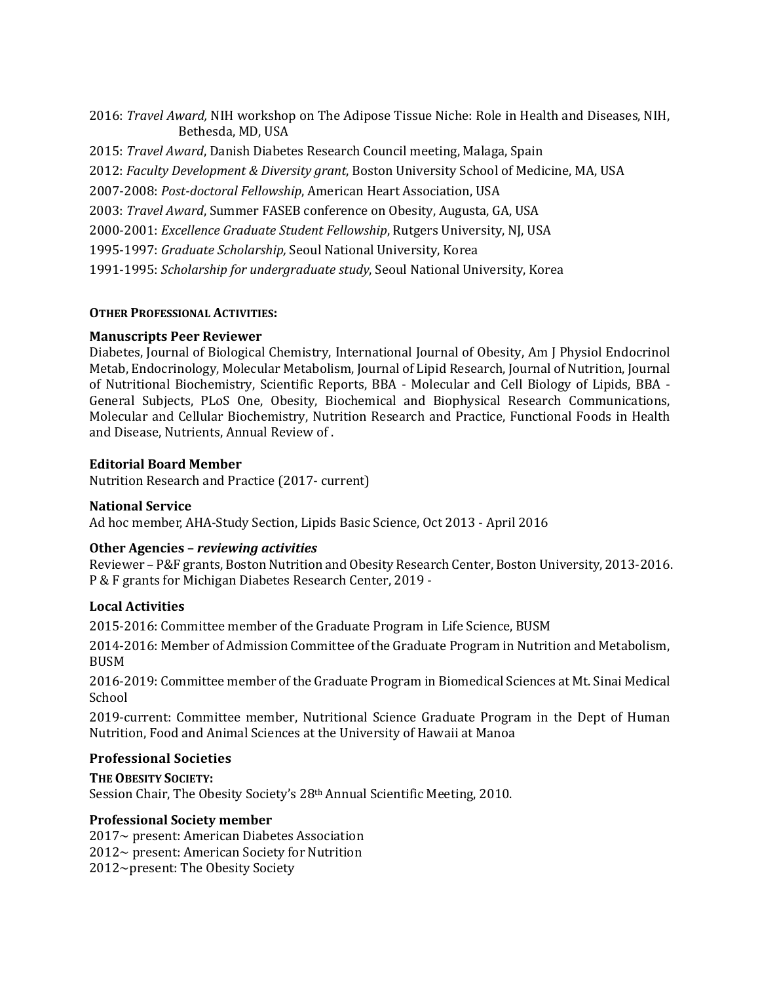2016: *Travel Award,* NIH workshop on The Adipose Tissue Niche: Role in Health and Diseases, NIH, Bethesda, MD, USA

2015: *Travel Award*, Danish Diabetes Research Council meeting, Malaga, Spain 2012: *Faculty Development & Diversity grant*, Boston University School of Medicine, MA, USA 2007-2008: *Post-doctoral Fellowship*, American Heart Association, USA 2003: *Travel Award*, Summer FASEB conference on Obesity, Augusta, GA, USA 2000-2001: *Excellence Graduate Student Fellowship*, Rutgers University, NJ, USA 1995-1997: *Graduate Scholarship,* Seoul National University, Korea 1991-1995: *Scholarship for undergraduate study*, Seoul National University, Korea

## **OTHER PROFESSIONAL ACTIVITIES:**

## **Manuscripts Peer Reviewer**

Diabetes, Journal of Biological Chemistry, International Journal of Obesity, Am J Physiol Endocrinol Metab, Endocrinology, Molecular Metabolism, Journal of Lipid Research, Journal of Nutrition, Journal of Nutritional Biochemistry, Scientific Reports, BBA - Molecular and Cell Biology of Lipids, BBA - General Subjects, PLoS One, Obesity, [Biochemical and Biophysical Research Communications,](https://www.google.com/url?sa=t&rct=j&q=&esrc=s&source=web&cd=1&cad=rja&uact=8&ved=0CB4QFjAAahUKEwiwmI_ZlsrHAhWBCD4KHXN1CME&url=http%3A%2F%2Fwww.journals.elsevier.com%2Fbiochemical-and-biophysical-research-communications%2F&ei=In3fVbD_DoGR-AHz6qGIDA&usg=AFQjCNHZwMmtFP2WVuvIpsGAoOZ1MFAGtQ&sig2=R7tFp4VJlMqpNAQiHquQqw) Molecular and Cellular Biochemistry, Nutrition Research and Practice, Functional Foods in Health and Disease, Nutrients, Annual Review of .

## **Editorial Board Member**

Nutrition Research and Practice (2017- current)

# **National Service**

Ad hoc member, AHA-Study Section, Lipids Basic Science, Oct 2013 - April 2016

## **Other Agencies –** *reviewing activities*

Reviewer – P&F grants, Boston Nutrition and Obesity Research Center, Boston University, 2013-2016. P & F grants for Michigan Diabetes Research Center, 2019 -

## **Local Activities**

2015-2016: Committee member of the Graduate Program in Life Science, BUSM

2014-2016: Member of Admission Committee of the Graduate Program in Nutrition and Metabolism, BUSM

2016-2019: Committee member of the Graduate Program in Biomedical Sciences at Mt. Sinai Medical School

2019-current: Committee member, Nutritional Science Graduate Program in the Dept of Human Nutrition, Food and Animal Sciences at the University of Hawaii at Manoa

## **Professional Societies**

**THE OBESITY SOCIETY:** Session Chair, The Obesity Society's 28th Annual Scientific Meeting, 2010.

## **Professional Society member**

2017~ present: American Diabetes Association 2012~ present: American Society for Nutrition 2012~present: The Obesity Society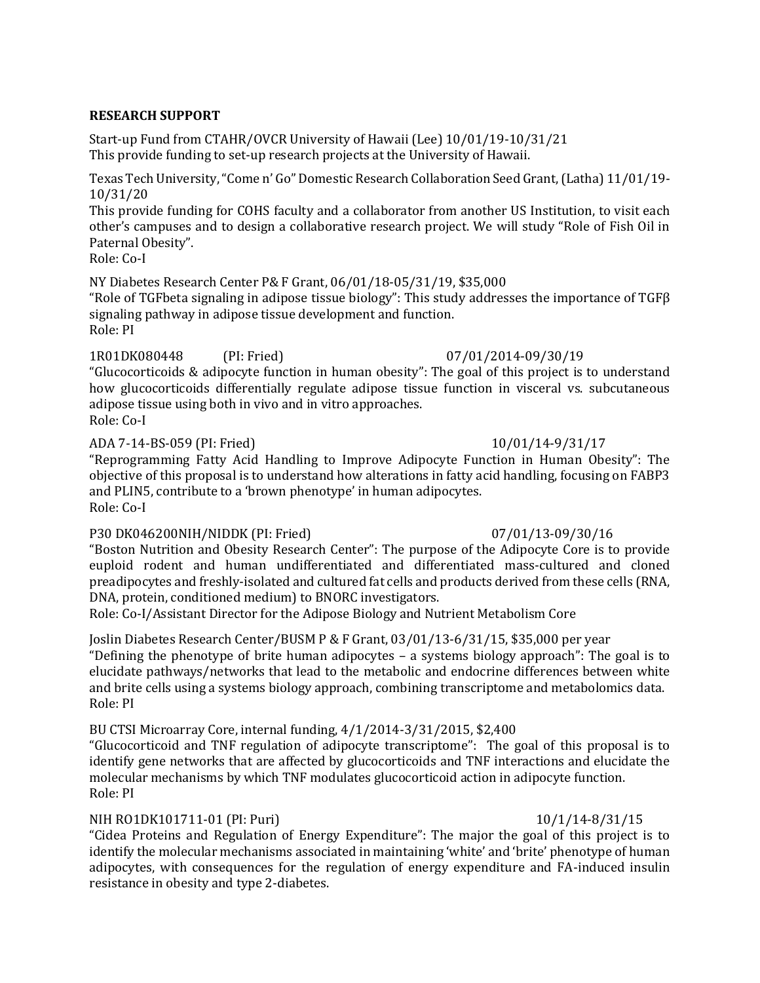## **RESEARCH SUPPORT**

Start-up Fund from CTAHR/OVCR University of Hawaii (Lee) 10/01/19-10/31/21 This provide funding to set-up research projects at the University of Hawaii.

Texas Tech University, "Come n' Go" Domestic Research Collaboration Seed Grant, (Latha) 11/01/19- 10/31/20

This provide funding for COHS faculty and a collaborator from another US Institution, to visit each other's campuses and to design a collaborative research project. We will study "Role of Fish Oil in Paternal Obesity".

Role: Co-I

NY Diabetes Research Center P& F Grant, 06/01/18-05/31/19, \$35,000 "Role of TGFbeta signaling in adipose tissue biology": This study addresses the importance of TGFβ signaling pathway in adipose tissue development and function. Role: PI

## 1R01DK080448 (PI: Fried) 07/01/2014-09/30/19

"Glucocorticoids & adipocyte function in human obesity": The goal of this project is to understand how glucocorticoids differentially regulate adipose tissue function in visceral vs. subcutaneous adipose tissue using both in vivo and in vitro approaches. Role: Co-I

## ADA 7-14-BS-059 (PI: Fried) 10/01/14-9/31/17

"Reprogramming Fatty Acid Handling to Improve Adipocyte Function in Human Obesity": The objective of this proposal is to understand how alterations in fatty acid handling, focusing on FABP3 and PLIN5, contribute to a 'brown phenotype' in human adipocytes. Role: Co-I

## P30 DK046200NIH/NIDDK (PI: Fried) 07/01/13-09/30/16

"Boston Nutrition and Obesity Research Center": The purpose of the Adipocyte Core is to provide euploid rodent and human undifferentiated and differentiated mass-cultured and cloned preadipocytes and freshly-isolated and cultured fat cells and products derived from these cells (RNA, DNA, protein, conditioned medium) to BNORC investigators.

Role: Co-I/Assistant Director for the Adipose Biology and Nutrient Metabolism Core

Joslin Diabetes Research Center/BUSM P & F Grant, 03/01/13-6/31/15, \$35,000 per year "Defining the phenotype of brite human adipocytes – a systems biology approach": The goal is to elucidate pathways/networks that lead to the metabolic and endocrine differences between white and brite cells using a systems biology approach, combining transcriptome and metabolomics data. Role: PI

# BU CTSI Microarray Core, internal funding, 4/1/2014-3/31/2015, \$2,400

"Glucocorticoid and TNF regulation of adipocyte transcriptome": The goal of this proposal is to identify gene networks that are affected by glucocorticoids and TNF interactions and elucidate the molecular mechanisms by which TNF modulates glucocorticoid action in adipocyte function. Role: PI

# NIH RO1DK101711-01 (PI: Puri) 10/1/14-8/31/15

"Cidea Proteins and Regulation of Energy Expenditure": The major the goal of this project is to identify the molecular mechanisms associated in maintaining 'white' and 'brite' phenotype of human adipocytes, with consequences for the regulation of energy expenditure and FA-induced insulin resistance in obesity and type 2-diabetes.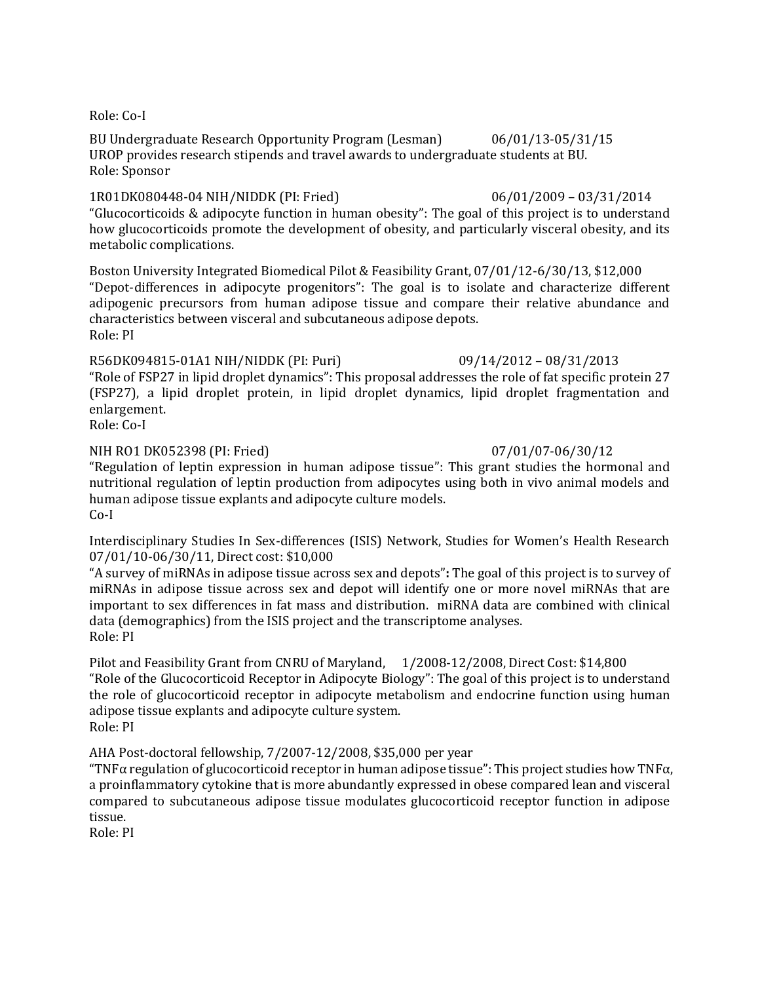Role: Co-I

BU Undergraduate Research Opportunity Program (Lesman) 06/01/13-05/31/15 UROP provides research stipends and travel awards to undergraduate students at BU. Role: Sponsor

1R01DK080448-04 NIH/NIDDK (PI: Fried) 06/01/2009 – 03/31/2014 "Glucocorticoids & adipocyte function in human obesity": The goal of this project is to understand how glucocorticoids promote the development of obesity, and particularly visceral obesity, and its metabolic complications.

Boston University Integrated Biomedical Pilot & Feasibility Grant, 07/01/12-6/30/13, \$12,000 "Depot-differences in adipocyte progenitors": The goal is to isolate and characterize different adipogenic precursors from human adipose tissue and compare their relative abundance and characteristics between visceral and subcutaneous adipose depots. Role: PI

## R56DK094815-01A1 NIH/NIDDK (PI: Puri) 09/14/2012 – 08/31/2013

"Role of FSP27 in lipid droplet dynamics": This proposal addresses the role of fat specific protein 27 (FSP27), a lipid droplet protein, in lipid droplet dynamics, lipid droplet fragmentation and enlargement.

Role: Co-I

## NIH RO1 DK052398 (PI: Fried) 07/01/07-06/30/12

"Regulation of leptin expression in human adipose tissue": This grant studies the hormonal and nutritional regulation of leptin production from adipocytes using both in vivo animal models and human adipose tissue explants and adipocyte culture models. Co-I

Interdisciplinary Studies In Sex-[differences \(ISIS\) Network, Studies for Women's Health Research](http://www.womenshealthresearch.org/site/PageServer?pagename=rf_isis_about)  07/01/10-06/30/11, Direct cost: \$10,000

"A survey of miRNAs in adipose tissue across sex and depots"**:** The goal of this project is to survey of miRNAs in adipose tissue across sex and depot will identify one or more novel miRNAs that are important to sex differences in fat mass and distribution. miRNA data are combined with clinical data (demographics) from the ISIS project and the transcriptome analyses. Role: PI

Pilot and Feasibility Grant from CNRU of Maryland, 1/2008-12/2008, Direct Cost: \$14,800 "Role of the Glucocorticoid Receptor in Adipocyte Biology": The goal of this project is to understand the role of glucocorticoid receptor in adipocyte metabolism and endocrine function using human adipose tissue explants and adipocyte culture system. Role: PI

AHA Post-doctoral fellowship, 7/2007-12/2008, \$35,000 per year

"TNF $\alpha$  regulation of glucocorticoid receptor in human adipose tissue": This project studies how TNF $\alpha$ , a proinflammatory cytokine that is more abundantly expressed in obese compared lean and visceral compared to subcutaneous adipose tissue modulates glucocorticoid receptor function in adipose tissue.

Role: PI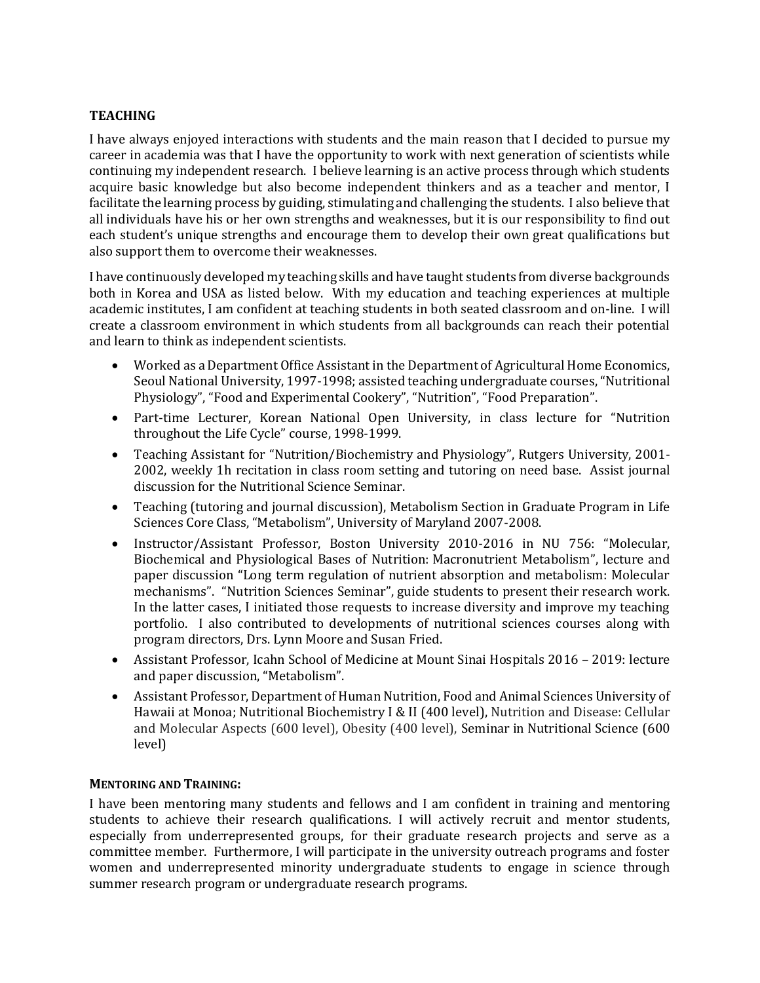# **TEACHING**

I have always enjoyed interactions with students and the main reason that I decided to pursue my career in academia was that I have the opportunity to work with next generation of scientists while continuing my independent research. I believe learning is an active process through which students acquire basic knowledge but also become independent thinkers and as a teacher and mentor, I facilitate the learning process by guiding, stimulating and challenging the students. I also believe that all individuals have his or her own strengths and weaknesses, but it is our responsibility to find out each student's unique strengths and encourage them to develop their own great qualifications but also support them to overcome their weaknesses.

I have continuously developed my teaching skills and have taught students from diverse backgrounds both in Korea and USA as listed below. With my education and teaching experiences at multiple academic institutes, I am confident at teaching students in both seated classroom and on-line. I will create a classroom environment in which students from all backgrounds can reach their potential and learn to think as independent scientists.

- Worked as a Department Office Assistant in the Department of Agricultural Home Economics, Seoul National University, 1997-1998; assisted teaching undergraduate courses, "Nutritional Physiology", "Food and Experimental Cookery", "Nutrition", "Food Preparation".
- Part-time Lecturer, Korean National Open University, in class lecture for "Nutrition throughout the Life Cycle" course, 1998-1999.
- Teaching Assistant for "Nutrition/Biochemistry and Physiology", Rutgers University, 2001- 2002, weekly 1h recitation in class room setting and tutoring on need base. Assist journal discussion for the Nutritional Science Seminar.
- Teaching (tutoring and journal discussion), Metabolism Section in Graduate Program in Life Sciences Core Class, "Metabolism", University of Maryland 2007-2008.
- Instructor/Assistant Professor, Boston University 2010-2016 in NU 756: "Molecular, Biochemical and Physiological Bases of Nutrition: Macronutrient Metabolism", lecture and paper discussion "Long term regulation of nutrient absorption and metabolism: Molecular mechanisms". "Nutrition Sciences Seminar", guide students to present their research work. In the latter cases, I initiated those requests to increase diversity and improve my teaching portfolio. I also contributed to developments of nutritional sciences courses along with program directors, Drs. Lynn Moore and Susan Fried.
- Assistant Professor, Icahn School of Medicine at Mount Sinai Hospitals 2016 2019: lecture and paper discussion, "Metabolism".
- Assistant Professor, Department of Human Nutrition, Food and Animal Sciences University of Hawaii at Monoa; Nutritional Biochemistry I & II (400 level), Nutrition and Disease: Cellular and Molecular Aspects (600 level), Obesity (400 level), Seminar in Nutritional Science (600 level)

## **MENTORING AND TRAINING:**

I have been mentoring many students and fellows and I am confident in training and mentoring students to achieve their research qualifications. I will actively recruit and mentor students, especially from underrepresented groups, for their graduate research projects and serve as a committee member. Furthermore, I will participate in the university outreach programs and foster women and underrepresented minority undergraduate students to engage in science through summer research program or undergraduate research programs.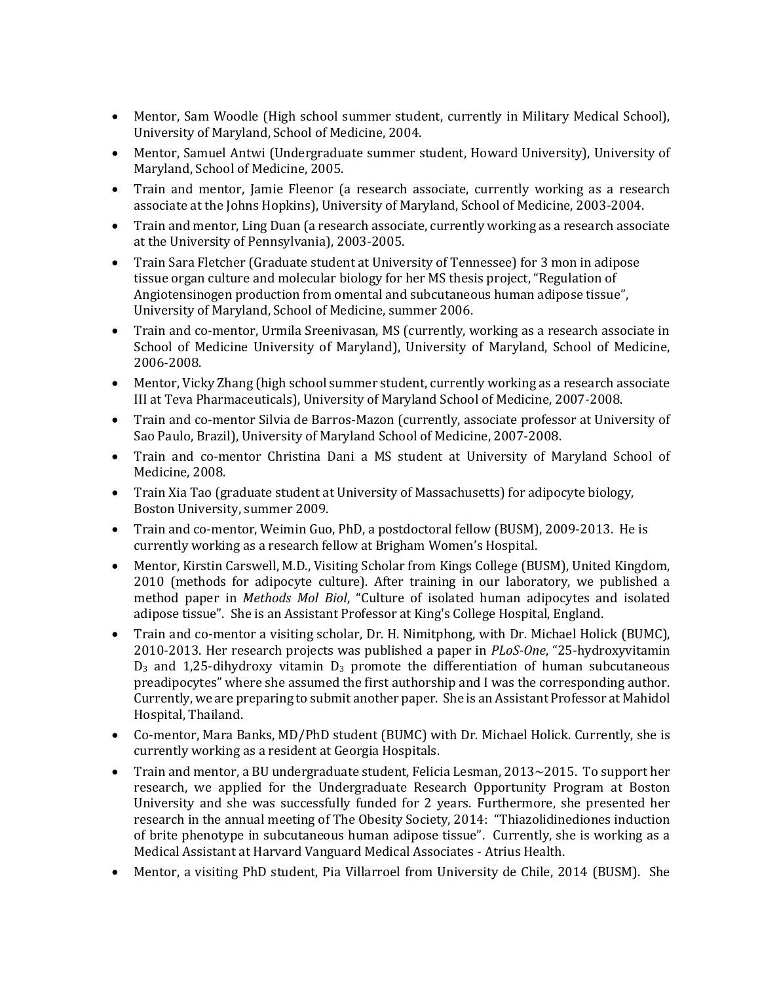- Mentor, Sam Woodle (High school summer student, currently in Military Medical School), University of Maryland, School of Medicine, 2004.
- Mentor, Samuel Antwi (Undergraduate summer student, Howard University), University of Maryland, School of Medicine, 2005.
- Train and mentor, Jamie Fleenor (a research associate, currently working as a research associate at the Johns Hopkins), University of Maryland, School of Medicine, 2003-2004.
- Train and mentor, Ling Duan (a research associate, currently working as a research associate at the University of Pennsylvania), 2003-2005.
- Train Sara Fletcher (Graduate student at University of Tennessee) for 3 mon in adipose tissue organ culture and molecular biology for her MS thesis project, "Regulation of Angiotensinogen production from omental and subcutaneous human adipose tissue", University of Maryland, School of Medicine, summer 2006.
- Train and co-mentor, Urmila Sreenivasan, MS (currently, working as a research associate in School of Medicine University of Maryland), University of Maryland, School of Medicine, 2006-2008.
- Mentor, Vicky Zhang (high school summer student, currently working as a research associate III at Teva Pharmaceuticals), University of Maryland School of Medicine, 2007-2008.
- Train and co-mentor Silvia de Barros-Mazon (currently, associate professor at University of Sao Paulo, Brazil), University of Maryland School of Medicine, 2007-2008.
- Train and co-mentor Christina Dani a MS student at University of Maryland School of Medicine, 2008.
- Train Xia Tao (graduate student at University of Massachusetts) for adipocyte biology, Boston University, summer 2009.
- Train and co-mentor, Weimin Guo, PhD, a postdoctoral fellow (BUSM), 2009-2013. He is currently working as a research fellow at Brigham Women's Hospital.
- Mentor, Kirstin Carswell, M.D., Visiting Scholar from Kings College (BUSM), United Kingdom, 2010 (methods for adipocyte culture). After training in our laboratory, we published a method paper in *Methods Mol Biol*, "[Culture of isolated human adipocytes and isolated](http://www.ncbi.nlm.nih.gov/pubmed/22057454)  [adipose tissue".](http://www.ncbi.nlm.nih.gov/pubmed/22057454) She is an Assistant Professor at King's College Hospital, England.
- Train and co-mentor a visiting scholar, Dr. H. Nimitphong, with Dr. Michael Holick (BUMC), 2010-2013. Her research projects was published a paper in *PLoS-One*, "25-hydroxyvitamin  $D_3$  and 1,25-dihydroxy vitamin  $D_3$  promote the differentiation of human subcutaneous preadipocytes" where she assumed the first authorship and I was the corresponding author. Currently, we are preparing to submit another paper. She is an Assistant Professor at Mahidol Hospital, Thailand.
- Co-mentor, Mara Banks, MD/PhD student (BUMC) with Dr. Michael Holick. Currently, she is currently working as a resident at Georgia Hospitals.
- Train and mentor, a BU undergraduate student, Felicia Lesman, 2013~2015. To support her research, we applied for the Undergraduate Research Opportunity Program at Boston University and she was successfully funded for 2 years. Furthermore, she presented her research in the annual meeting of The Obesity Society, 2014: "Thiazolidinediones induction of brite phenotype in subcutaneous human adipose tissue". Currently, she is working as a Medical Assistant at Harvard Vanguard Medical Associates - Atrius Health.
- Mentor, a visiting PhD student, Pia Villarroel from University de Chile, 2014 (BUSM). She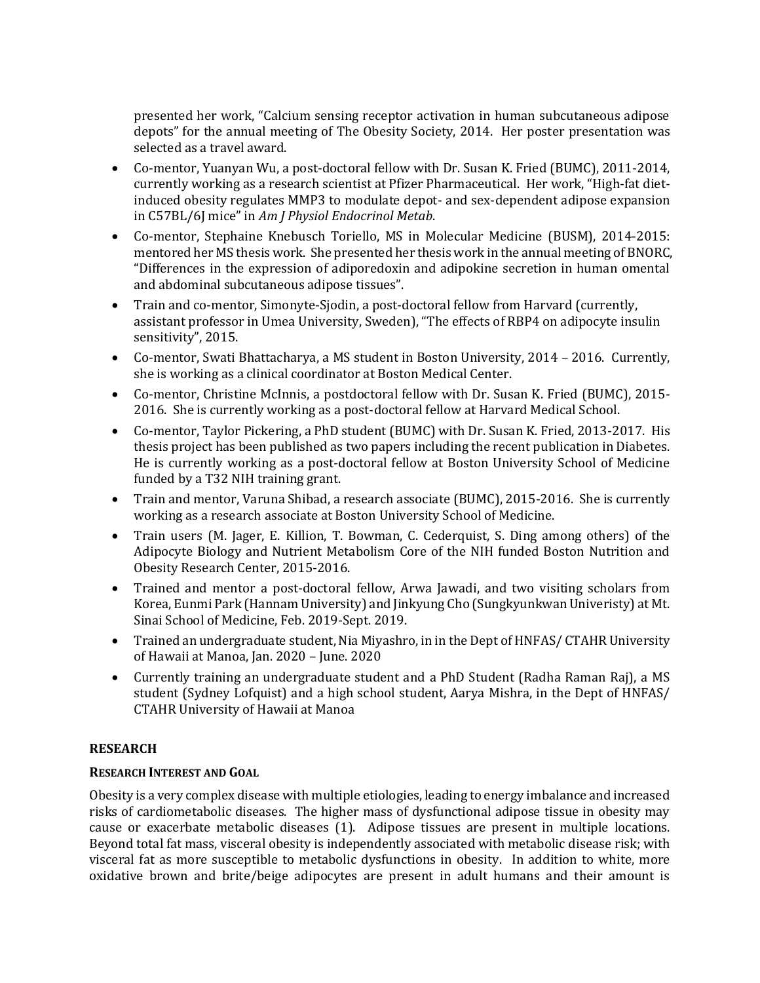presented her work, "Calcium sensing receptor activation in human subcutaneous adipose depots" for the annual meeting of The Obesity Society, 2014. Her poster presentation was selected as a travel award.

- Co-mentor, Yuanyan Wu, a post-doctoral fellow with Dr. Susan K. Fried (BUMC), 2011-2014, currently working as a research scientist at Pfizer Pharmaceutical. Her work, "High-fat dietinduced obesity regulates MMP3 to modulate depot- and sex-dependent adipose expansion in C57BL/6J mice" in *Am J Physiol Endocrinol Metab*.
- Co-mentor, Stephaine Knebusch Toriello, MS in Molecular Medicine (BUSM), 2014-2015: mentored her MS thesis work. She presented her thesis work in the annual meeting of BNORC, "Differences in the expression of adiporedoxin and adipokine secretion in human omental and abdominal subcutaneous adipose tissues".
- Train and co-mentor, Simonyte-Sjodin, a post-doctoral fellow from Harvard (currently, assistant professor in Umea University, Sweden), "The effects of RBP4 on adipocyte insulin sensitivity", 2015.
- Co-mentor, Swati Bhattacharya, a MS student in Boston University, 2014 2016. Currently, she is working as a clinical coordinator at Boston Medical Center.
- Co-mentor, Christine McInnis, a postdoctoral fellow with Dr. Susan K. Fried (BUMC), 2015- 2016. She is currently working as a post-doctoral fellow at Harvard Medical School.
- Co-mentor, Taylor Pickering, a PhD student (BUMC) with Dr. Susan K. Fried, 2013-2017. His thesis project has been published as two papers including the recent publication in Diabetes. He is currently working as a post-doctoral fellow at Boston University School of Medicine funded by a T32 NIH training grant.
- Train and mentor, Varuna Shibad, a research associate (BUMC), 2015-2016. She is currently working as a research associate at Boston University School of Medicine.
- Train users (M. Jager, E. Killion, T. Bowman, C. Cederquist, S. Ding among others) of the Adipocyte Biology and Nutrient Metabolism Core of the NIH funded Boston Nutrition and Obesity Research Center, 2015-2016.
- Trained and mentor a post-doctoral fellow, Arwa Jawadi, and two visiting scholars from Korea, Eunmi Park (Hannam University) and Jinkyung Cho (Sungkyunkwan Univeristy) at Mt. Sinai School of Medicine, Feb. 2019-Sept. 2019.
- Trained an undergraduate student, Nia Miyashro, in in the Dept of HNFAS/ CTAHR University of Hawaii at Manoa, Jan. 2020 – June. 2020
- Currently training an undergraduate student and a PhD Student (Radha Raman Raj), a MS student (Sydney Lofquist) and a high school student, Aarya Mishra, in the Dept of HNFAS/ CTAHR University of Hawaii at Manoa

# **RESEARCH**

# **RESEARCH INTEREST AND GOAL**

Obesity is a very complex disease with multiple etiologies, leading to energy imbalance and increased risks of cardiometabolic diseases. The higher mass of dysfunctional adipose tissue in obesity may cause or exacerbate metabolic diseases (1). Adipose tissues are present in multiple locations. Beyond total fat mass, visceral obesity is independently associated with metabolic disease risk; with visceral fat as more susceptible to metabolic dysfunctions in obesity. In addition to white, more oxidative brown and brite/beige adipocytes are present in adult humans and their amount is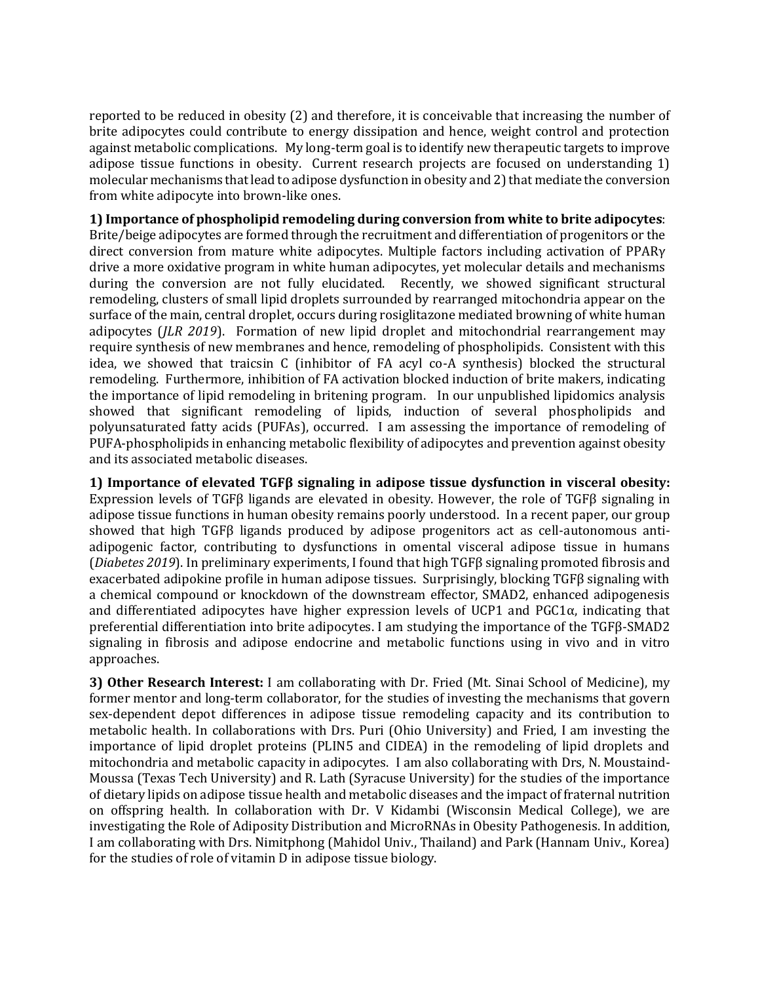reported to be reduced in obesity (2) and therefore, it is conceivable that increasing the number of brite adipocytes could contribute to energy dissipation and hence, weight control and protection against metabolic complications. My long-term goal is to identify new therapeutic targets to improve adipose tissue functions in obesity. Current research projects are focused on understanding 1) molecular mechanisms that lead to adipose dysfunction in obesity and 2) that mediate the conversion from white adipocyte into brown-like ones.

# **1) Importance of phospholipid remodeling during conversion from white to brite adipocytes**:

Brite/beige adipocytes are formed through the recruitment and differentiation of progenitors or the direct conversion from mature white adipocytes. Multiple factors including activation of PPARγ drive a more oxidative program in white human adipocytes, yet molecular details and mechanisms during the conversion are not fully elucidated. Recently, we showed significant structural remodeling, clusters of small lipid droplets surrounded by rearranged mitochondria appear on the surface of the main, central droplet, occurs during rosiglitazone mediated browning of white human adipocytes (*JLR 2019*). Formation of new lipid droplet and mitochondrial rearrangement may require synthesis of new membranes and hence, remodeling of phospholipids. Consistent with this idea, we showed that traicsin C (inhibitor of FA acyl co-A synthesis) blocked the structural remodeling. Furthermore, inhibition of FA activation blocked induction of brite makers, indicating the importance of lipid remodeling in britening program. In our unpublished lipidomics analysis showed that significant remodeling of lipids, induction of several phospholipids and polyunsaturated fatty acids (PUFAs), occurred. I am assessing the importance of remodeling of PUFA-phospholipids in enhancing metabolic flexibility of adipocytes and prevention against obesity and its associated metabolic diseases.

**1) Importance of elevated TGFβ signaling in adipose tissue dysfunction in visceral obesity:**  Expression levels of TGFβ ligands are elevated in obesity. However, the role of TGFβ signaling in adipose tissue functions in human obesity remains poorly understood. In a recent paper, our group showed that high TGFβ ligands produced by adipose progenitors act as cell-autonomous antiadipogenic factor, contributing to dysfunctions in omental visceral adipose tissue in humans (*Diabetes 2019*). In preliminary experiments, I found that high TGFβ signaling promoted fibrosis and exacerbated adipokine profile in human adipose tissues. Surprisingly, blocking TGFβ signaling with a chemical compound or knockdown of the downstream effector, SMAD2, enhanced adipogenesis and differentiated adipocytes have higher expression levels of UCP1 and  $PGC1\alpha$ , indicating that preferential differentiation into brite adipocytes. I am studying the importance of the TGFβ-SMAD2 signaling in fibrosis and adipose endocrine and metabolic functions using in vivo and in vitro approaches.

**3) Other Research Interest:** I am collaborating with Dr. Fried (Mt. Sinai School of Medicine), my former mentor and long-term collaborator, for the studies of investing the mechanisms that govern sex-dependent depot differences in adipose tissue remodeling capacity and its contribution to metabolic health. In collaborations with Drs. Puri (Ohio University) and Fried, I am investing the importance of lipid droplet proteins (PLIN5 and CIDEA) in the remodeling of lipid droplets and mitochondria and metabolic capacity in adipocytes. I am also collaborating with Drs, N. Moustaind-Moussa (Texas Tech University) and R. Lath (Syracuse University) for the studies of the importance of dietary lipids on adipose tissue health and metabolic diseases and the impact of fraternal nutrition on offspring health. In collaboration with Dr. V Kidambi (Wisconsin Medical College), we are investigating the Role of Adiposity Distribution and MicroRNAs in Obesity Pathogenesis. In addition, I am collaborating with Drs. Nimitphong (Mahidol Univ., Thailand) and Park (Hannam Univ., Korea) for the studies of role of vitamin D in adipose tissue biology.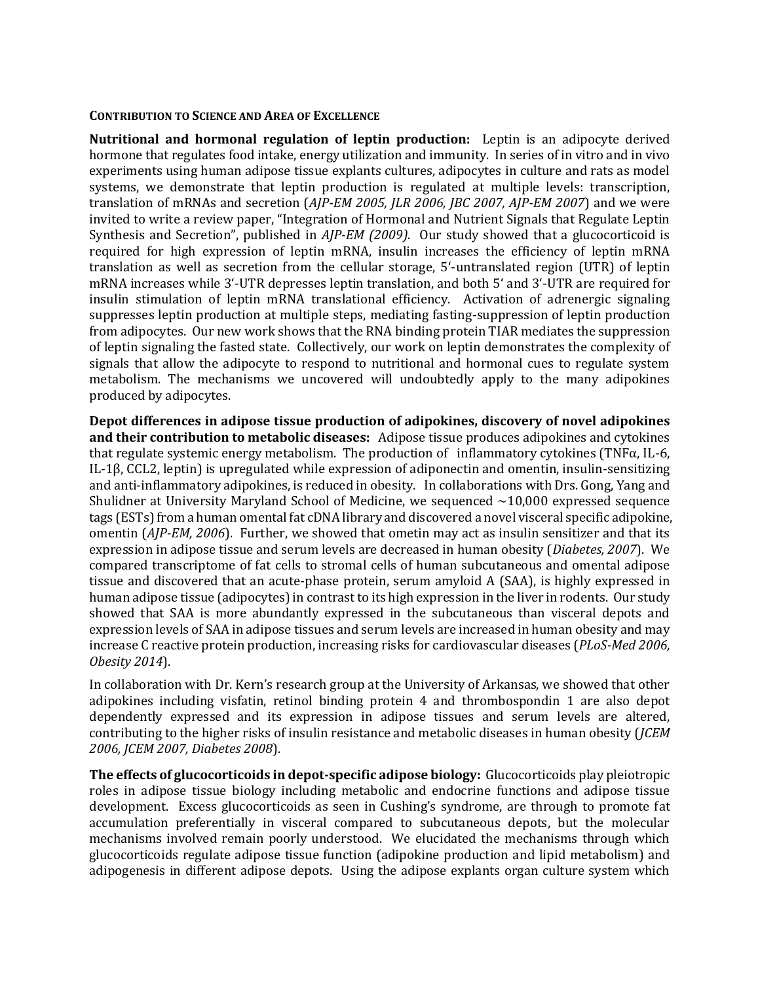## **CONTRIBUTION TO SCIENCE AND AREA OF EXCELLENCE**

**Nutritional and hormonal regulation of leptin production:** Leptin is an adipocyte derived hormone that regulates food intake, energy utilization and immunity. In series of in vitro and in vivo experiments using human adipose tissue explants cultures, adipocytes in culture and rats as model systems, we demonstrate that leptin production is regulated at multiple levels: transcription, translation of mRNAs and secretion (*AJP-EM 2005, JLR 2006, JBC 2007, AJP-EM 2007*) and we were invited to write a review paper, "Integration of Hormonal and Nutrient Signals that Regulate Leptin Synthesis and Secretion", published in *AJP-EM (2009)*. Our study showed that a glucocorticoid is required for high expression of leptin mRNA, insulin increases the efficiency of leptin mRNA translation as well as secretion from the cellular storage, 5'-untranslated region (UTR) of leptin mRNA increases while 3'-UTR depresses leptin translation, and both 5' and 3'-UTR are required for insulin stimulation of leptin mRNA translational efficiency. Activation of adrenergic signaling suppresses leptin production at multiple steps, mediating fasting-suppression of leptin production from adipocytes. Our new work shows that the RNA binding protein TIAR mediates the suppression of leptin signaling the fasted state. Collectively, our work on leptin demonstrates the complexity of signals that allow the adipocyte to respond to nutritional and hormonal cues to regulate system metabolism. The mechanisms we uncovered will undoubtedly apply to the many adipokines produced by adipocytes.

**Depot differences in adipose tissue production of adipokines, discovery of novel adipokines and their contribution to metabolic diseases:** Adipose tissue produces adipokines and cytokines that regulate systemic energy metabolism. The production of inflammatory cytokines (TNFα, IL-6, IL-1β, CCL2, leptin) is upregulated while expression of adiponectin and omentin, insulin-sensitizing and anti-inflammatory adipokines, is reduced in obesity. In collaborations with Drs. Gong, Yang and Shulidner at University Maryland School of Medicine, we sequenced  $\sim$ 10,000 expressed sequence tags (ESTs) from a human omental fat cDNA library and discovered a novel visceral specific adipokine, omentin (*AJP-EM, 2006*). Further, we showed that ometin may act as insulin sensitizer and that its expression in adipose tissue and serum levels are decreased in human obesity (*Diabetes, 2007*). We compared transcriptome of fat cells to stromal cells of human subcutaneous and omental adipose tissue and discovered that an acute-phase protein, serum amyloid A (SAA), is highly expressed in human adipose tissue (adipocytes) in contrast to its high expression in the liver in rodents. Our study showed that SAA is more abundantly expressed in the subcutaneous than visceral depots and expression levels of SAA in adipose tissues and serum levels are increased in human obesity and may increase C reactive protein production, increasing risks for cardiovascular diseases (*PLoS-Med 2006, Obesity 2014*).

In collaboration with Dr. Kern's research group at the University of Arkansas, we showed that other adipokines including visfatin, retinol binding protein 4 and thrombospondin 1 are also depot dependently expressed and its expression in adipose tissues and serum levels are altered, contributing to the higher risks of insulin resistance and metabolic diseases in human obesity (*JCEM 2006, JCEM 2007, Diabetes 2008*).

**The effects of glucocorticoids in depot-specific adipose biology:** Glucocorticoids play pleiotropic roles in adipose tissue biology including metabolic and endocrine functions and adipose tissue development. Excess glucocorticoids as seen in Cushing's syndrome, are through to promote fat accumulation preferentially in visceral compared to subcutaneous depots, but the molecular mechanisms involved remain poorly understood. We elucidated the mechanisms through which glucocorticoids regulate adipose tissue function (adipokine production and lipid metabolism) and adipogenesis in different adipose depots. Using the adipose explants organ culture system which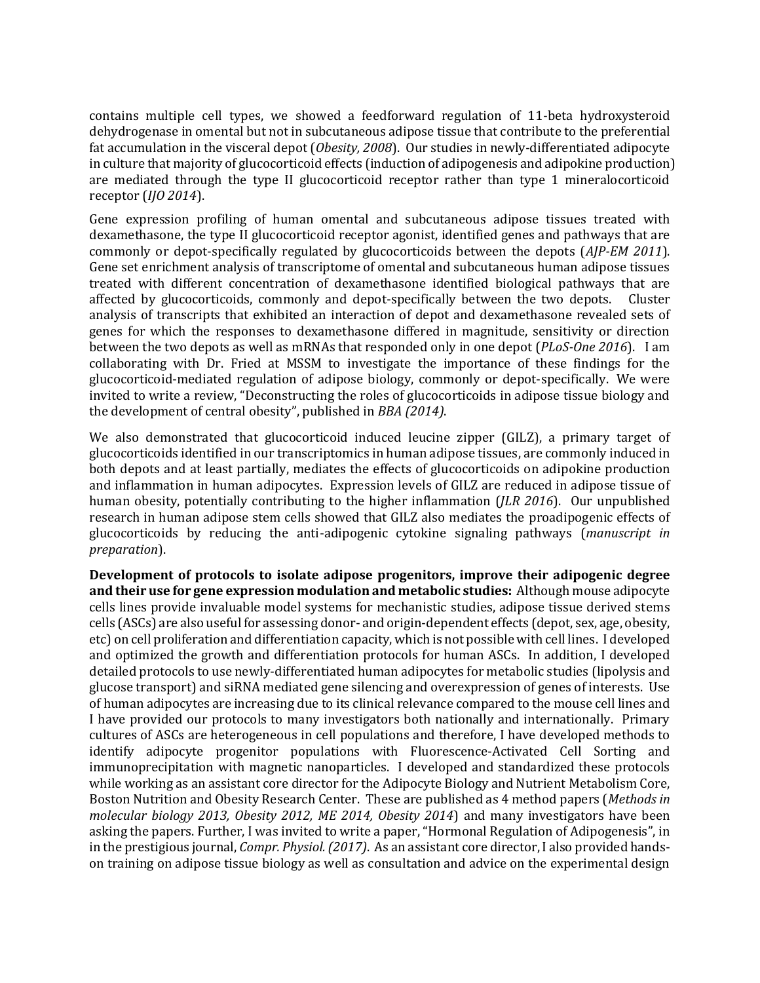contains multiple cell types, we showed a feedforward regulation of 11-beta hydroxysteroid dehydrogenase in omental but not in subcutaneous adipose tissue that contribute to the preferential fat accumulation in the visceral depot (*Obesity, 2008*). Our studies in newly-differentiated adipocyte in culture that majority of glucocorticoid effects (induction of adipogenesis and adipokine production) are mediated through the type II glucocorticoid receptor rather than type 1 mineralocorticoid receptor (*IJO 2014*).

Gene expression profiling of human omental and subcutaneous adipose tissues treated with dexamethasone, the type II glucocorticoid receptor agonist, identified genes and pathways that are commonly or depot-specifically regulated by glucocorticoids between the depots (*AJP-EM 2011*). Gene set enrichment analysis of transcriptome of omental and subcutaneous human adipose tissues treated with different concentration of dexamethasone identified biological pathways that are affected by glucocorticoids, commonly and depot-specifically between the two depots. Cluster analysis of transcripts that exhibited an interaction of depot and dexamethasone revealed sets of genes for which the responses to dexamethasone differed in magnitude, sensitivity or direction between the two depots as well as mRNAs that responded only in one depot (*PLoS-One 2016*). I am collaborating with Dr. Fried at MSSM to investigate the importance of these findings for the glucocorticoid-mediated regulation of adipose biology, commonly or depot-specifically. We were invited to write a review, "Deconstructing the roles of glucocorticoids in adipose tissue biology and the development of central obesity", published in *BBA (2014)*.

We also demonstrated that glucocorticoid induced leucine zipper (GILZ), a primary target of glucocorticoids identified in our transcriptomics in human adipose tissues, are commonly induced in both depots and at least partially, mediates the effects of glucocorticoids on adipokine production and inflammation in human adipocytes. Expression levels of GILZ are reduced in adipose tissue of human obesity, potentially contributing to the higher inflammation (*JLR 2016*). Our unpublished research in human adipose stem cells showed that GILZ also mediates the proadipogenic effects of glucocorticoids by reducing the anti-adipogenic cytokine signaling pathways (*manuscript in preparation*).

**Development of protocols to isolate adipose progenitors, improve their adipogenic degree and their use for gene expression modulation and metabolic studies:** Although mouse adipocyte cells lines provide invaluable model systems for mechanistic studies, adipose tissue derived stems cells (ASCs) are also useful for assessing donor- and origin-dependent effects (depot, sex, age, obesity, etc) on cell proliferation and differentiation capacity, which is not possible with cell lines. I developed and optimized the growth and differentiation protocols for human ASCs. In addition, I developed detailed protocols to use newly-differentiated human adipocytes for metabolic studies (lipolysis and glucose transport) and siRNA mediated gene silencing and overexpression of genes of interests. Use of human adipocytes are increasing due to its clinical relevance compared to the mouse cell lines and I have provided our protocols to many investigators both nationally and internationally. Primary cultures of ASCs are heterogeneous in cell populations and therefore, I have developed methods to identify adipocyte progenitor populations with Fluorescence-Activated Cell Sorting and immunoprecipitation with magnetic nanoparticles. I developed and standardized these protocols while working as an assistant core director for the Adipocyte Biology and Nutrient Metabolism Core, Boston Nutrition and Obesity Research Center. These are published as 4 method papers (*Methods in molecular biology 2013, Obesity 2012, ME 2014, Obesity 2014*) and many investigators have been asking the papers. Further, I was invited to write a paper, "Hormonal Regulation of Adipogenesis", in in the prestigious journal, *Compr. Physiol. (2017)*. As an assistant core director, I also provided handson training on adipose tissue biology as well as consultation and advice on the experimental design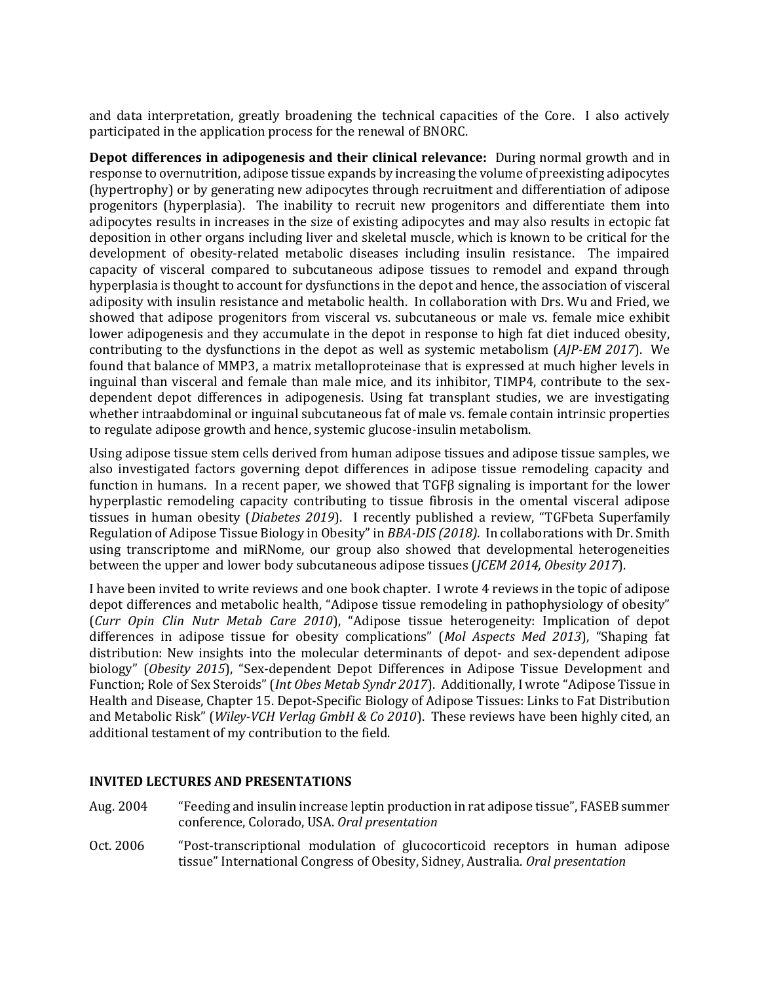and data interpretation, greatly broadening the technical capacities of the Core. I also actively participated in the application process for the renewal of BNORC.

**Depot differences in adipogenesis and their clinical relevance:** During normal growth and in response to overnutrition, adipose tissue expands by increasing the volume of preexisting adipocytes (hypertrophy) or by generating new adipocytes through recruitment and differentiation of adipose progenitors (hyperplasia). The inability to recruit new progenitors and differentiate them into adipocytes results in increases in the size of existing adipocytes and may also results in ectopic fat deposition in other organs including liver and skeletal muscle, which is known to be critical for the development of obesity-related metabolic diseases including insulin resistance. The impaired capacity of visceral compared to subcutaneous adipose tissues to remodel and expand through hyperplasia is thought to account for dysfunctions in the depot and hence, the association of visceral adiposity with insulin resistance and metabolic health. In collaboration with Drs. Wu and Fried, we showed that adipose progenitors from visceral vs. subcutaneous or male vs. female mice exhibit lower adipogenesis and they accumulate in the depot in response to high fat diet induced obesity, contributing to the dysfunctions in the depot as well as systemic metabolism (*AJP-EM 2017*). We found that balance of MMP3, a matrix metalloproteinase that is expressed at much higher levels in inguinal than visceral and female than male mice, and its inhibitor, TIMP4, contribute to the sexdependent depot differences in adipogenesis. Using fat transplant studies, we are investigating whether intraabdominal or inguinal subcutaneous fat of male vs. female contain intrinsic properties to regulate adipose growth and hence, systemic glucose-insulin metabolism.

Using adipose tissue stem cells derived from human adipose tissues and adipose tissue samples, we also investigated factors governing depot differences in adipose tissue remodeling capacity and function in humans. In a recent paper, we showed that TGFβ signaling is important for the lower hyperplastic remodeling capacity contributing to tissue fibrosis in the omental visceral adipose tissues in human obesity (*Diabetes 2019*). I recently published a review, "TGFbeta Superfamily Regulation of Adipose Tissue Biology in Obesity" in *BBA-DIS (2018).* In collaborations with Dr. Smith using transcriptome and miRNome, our group also showed that developmental heterogeneities between the upper and lower body subcutaneous adipose tissues (*JCEM 2014, Obesity 2017*).

I have been invited to write reviews and one book chapter. I wrote 4 reviews in the topic of adipose depot differences and metabolic health, "Adipose tissue remodeling in pathophysiology of obesity" (*Curr Opin Clin Nutr Metab Care 2010*), "Adipose tissue heterogeneity: Implication of depot differences in adipose tissue for obesity complications" (*Mol Aspects Med 2013*), "Shaping fat distribution: New insights into the molecular determinants of depot- and sex-dependent adipose biology" (*Obesity 2015*), "[Sex-dependent Depot Differences in Adipose Tissue Development and](http://www.jomes.org/journal/view.html?uid=713&&vmd=Full)  [Function; Role of Sex Steroids](http://www.jomes.org/journal/view.html?uid=713&&vmd=Full)" (*Int Obes Metab Syndr 2017*). Additionally, I wrote "Adipose Tissue in Health and Disease, Chapter 15. Depot-Specific Biology of Adipose Tissues: Links to Fat Distribution and Metabolic Risk" (*Wiley-VCH Verlag GmbH & Co 2010*). These reviews have been highly cited, an additional testament of my contribution to the field.

## **INVITED LECTURES AND PRESENTATIONS**

- Aug. 2004 "Feeding and insulin increase leptin production in rat adipose tissue", FASEB summer conference, Colorado, USA. *Oral presentation*
- Oct. 2006 "Post-transcriptional modulation of glucocorticoid receptors in human adipose tissue" International Congress of Obesity, Sidney, Australia. *Oral presentation*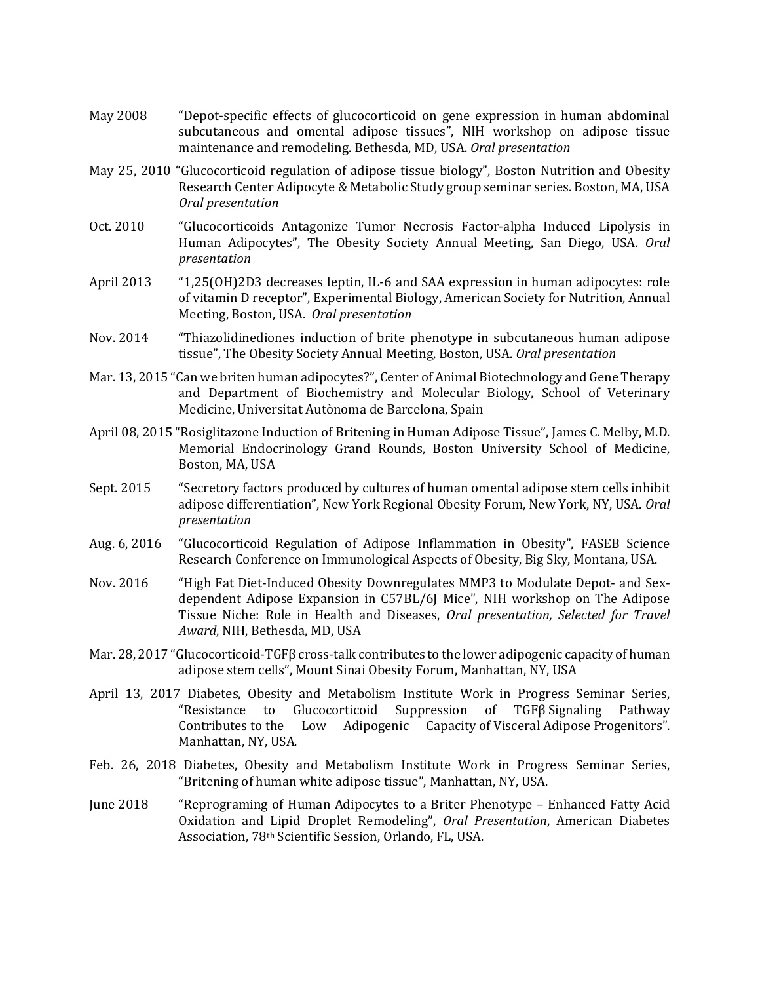- May 2008 "Depot-specific effects of glucocorticoid on gene expression in human abdominal subcutaneous and omental adipose tissues", NIH workshop on adipose tissue maintenance and remodeling. Bethesda, MD, USA. *Oral presentation*
- May 25, 2010 "Glucocorticoid regulation of adipose tissue biology", Boston Nutrition and Obesity Research Center Adipocyte & Metabolic Study group seminar series. Boston, MA, USA *Oral presentation*
- Oct. 2010 "[Glucocorticoids Antagonize Tumor Necrosis Factor-alpha Induced Lipolysis in](http://apps.isiknowledge.com/full_record.do?product=UA&search_mode=GeneralSearch&qid=3&SID=1FIAdG6Hfg9J9i6g@lc&page=1&doc=4&colname=WOS)  [Human Adipocytes](http://apps.isiknowledge.com/full_record.do?product=UA&search_mode=GeneralSearch&qid=3&SID=1FIAdG6Hfg9J9i6g@lc&page=1&doc=4&colname=WOS)", The Obesity Society Annual Meeting, San Diego, USA. *Oral presentation*
- April 2013 "1,25(OH)2D3 decreases leptin, IL-6 and SAA expression in human adipocytes: role of vitamin D receptor", Experimental Biology, American Society for Nutrition, Annual Meeting, Boston, USA. *Oral presentation*
- Nov. 2014 "Thiazolidinediones induction of brite phenotype in subcutaneous human adipose tissue", The Obesity Society Annual Meeting, Boston, USA. *Oral presentation*
- Mar. 13, 2015 "Can we briten human adipocytes?", Center of Animal Biotechnology and Gene Therapy and Department of Biochemistry and Molecular Biology, School of Veterinary Medicine, Universitat Autònoma de Barcelona, Spain
- April 08, 2015 "Rosiglitazone Induction of Britening in Human Adipose Tissue", James C. Melby, M.D. Memorial Endocrinology Grand Rounds, Boston University School of Medicine, Boston, MA, USA
- Sept. 2015 "Secretory factors produced by cultures of human omental adipose stem cells inhibit adipose differentiation", New York Regional Obesity Forum, New York, NY, USA. *Oral presentation*
- Aug. 6, 2016 "Glucocorticoid Regulation of Adipose Inflammation in Obesity", FASEB Science Research Conference on Immunological Aspects of Obesity, Big Sky, Montana, USA.
- Nov. 2016 "High Fat Diet-Induced Obesity Downregulates MMP3 to Modulate Depot- and Sexdependent Adipose Expansion in C57BL/6J Mice", NIH workshop on The Adipose Tissue Niche: Role in Health and Diseases, *Oral presentation, Selected for Travel Award*, NIH, Bethesda, MD, USA
- Mar. 28, 2017 "Glucocorticoid-TGFβ cross-talk contributes to the lower adipogenic capacity of human adipose stem cells", Mount Sinai Obesity Forum, Manhattan, NY, USA
- April 13, 2017 Diabetes, Obesity and Metabolism Institute Work in Progress Seminar Series, "Resistance to Glucocorticoid Suppression of TGFβ Signaling Pathway Contributes to the Low Adipogenic Capacity of Visceral Adipose Progenitors". Manhattan, NY, USA.
- Feb. 26, 2018 Diabetes, Obesity and Metabolism Institute Work in Progress Seminar Series, "Britening of human white adipose tissue", Manhattan, NY, USA.
- June 2018 "Reprograming of Human Adipocytes to a Briter Phenotype Enhanced Fatty Acid Oxidation and Lipid Droplet Remodeling", *Oral Presentation*, American Diabetes Association, 78th Scientific Session, Orlando, FL, USA.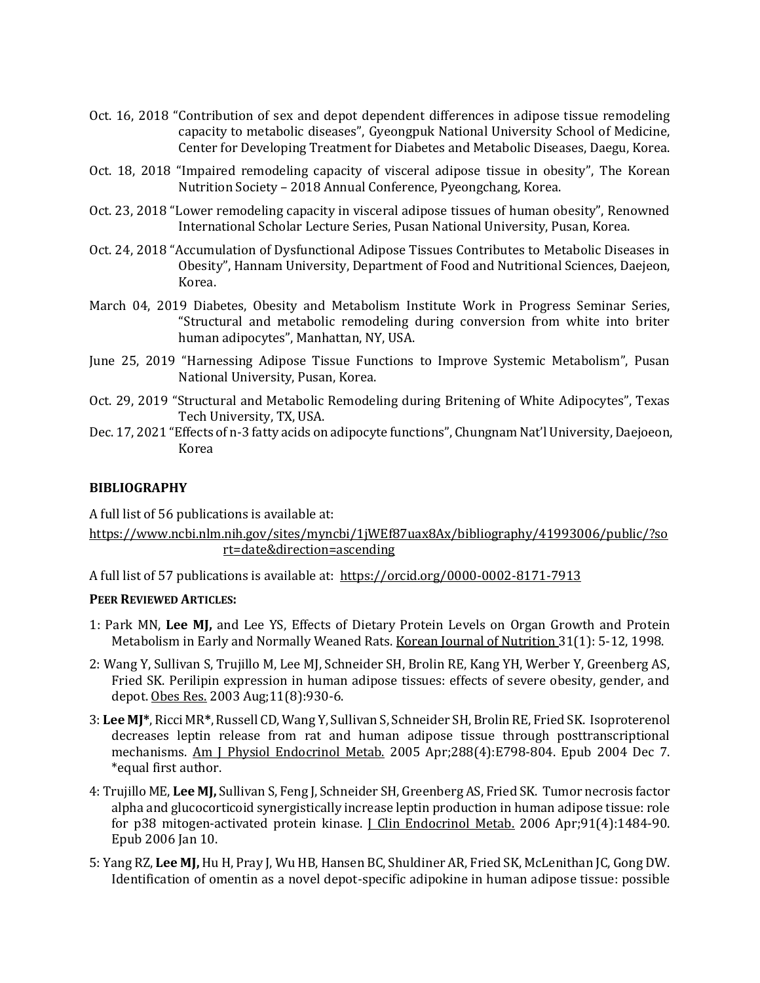- Oct. 16, 2018 "Contribution of sex and depot dependent differences in adipose tissue remodeling capacity to metabolic diseases", Gyeongpuk National University School of Medicine, Center for Developing Treatment for Diabetes and Metabolic Diseases, Daegu, Korea.
- Oct. 18, 2018 "Impaired remodeling capacity of visceral adipose tissue in obesity", The Korean Nutrition Society – 2018 Annual Conference, Pyeongchang, Korea.
- Oct. 23, 2018 "Lower remodeling capacity in visceral adipose tissues of human obesity", Renowned International Scholar Lecture Series, Pusan National University, Pusan, Korea.
- Oct. 24, 2018 "Accumulation of Dysfunctional Adipose Tissues Contributes to Metabolic Diseases in Obesity", Hannam University, Department of Food and Nutritional Sciences, Daejeon, Korea.
- March 04, 2019 Diabetes, Obesity and Metabolism Institute Work in Progress Seminar Series, "Structural and metabolic remodeling during conversion from white into briter human adipocytes", Manhattan, NY, USA.
- June 25, 2019 "Harnessing Adipose Tissue Functions to Improve Systemic Metabolism", Pusan National University, Pusan, Korea.
- Oct. 29, 2019 "Structural and Metabolic Remodeling during Britening of White Adipocytes", Texas Tech University, TX, USA.
- Dec. 17, 2021 "Effects of n-3 fatty acids on adipocyte functions", Chungnam Nat'l University, Daejoeon, Korea

## **BIBLIOGRAPHY**

A full list of 56 publications is available at:

[https://www.ncbi.nlm.nih.gov/sites/myncbi/1jWEf87uax8Ax/bibliography/41993006/public/?so](https://www.ncbi.nlm.nih.gov/sites/myncbi/1jWEf87uax8Ax/bibliography/41993006/public/?sort=date&direction=ascending) [rt=date&direction=ascending](https://www.ncbi.nlm.nih.gov/sites/myncbi/1jWEf87uax8Ax/bibliography/41993006/public/?sort=date&direction=ascending)

A full list of 57 publications is available at: https://orcid.org/0000-0002-8171-7913

## **PEER REVIEWED ARTICLES:**

- 1: Park MN, **Lee MJ,** and Lee YS, Effects of Dietary Protein Levels on Organ Growth and Protein Metabolism in Early and Normally Weaned Rats. Korean Journal of Nutrition 31(1): 5-12, 1998.
- 2: Wang Y, Sullivan S, Trujillo M, Lee MJ, Schneider SH, Brolin RE, Kang YH, Werber Y, Greenberg AS, Fried SK. Perilipin expression in human adipose tissues: effects of severe obesity, gender, and depot. Obes Res. 2003 Aug;11(8):930-6.
- 3: **Lee MJ\***, Ricci MR**\***, Russell CD, Wang Y, Sullivan S, Schneider SH, Brolin RE, Fried SK. Isoproterenol decreases leptin release from rat and human adipose tissue through posttranscriptional mechanisms. Am J Physiol Endocrinol Metab. 2005 Apr;288(4):E798-804. Epub 2004 Dec 7. \*equal first author.
- 4: Trujillo ME, **Lee MJ,** Sullivan S, Feng J, Schneider SH, Greenberg AS, Fried SK. Tumor necrosis factor alpha and glucocorticoid synergistically increase leptin production in human adipose tissue: role for p38 mitogen-activated protein kinase. *[Clin Endocrinol Metab.* 2006 Apr;91(4):1484-90. Epub 2006 Jan 10.
- 5: Yang RZ, **Lee MJ,** Hu H, Pray J, Wu HB, Hansen BC, Shuldiner AR, Fried SK, McLenithan JC, Gong DW. Identification of omentin as a novel depot-specific adipokine in human adipose tissue: possible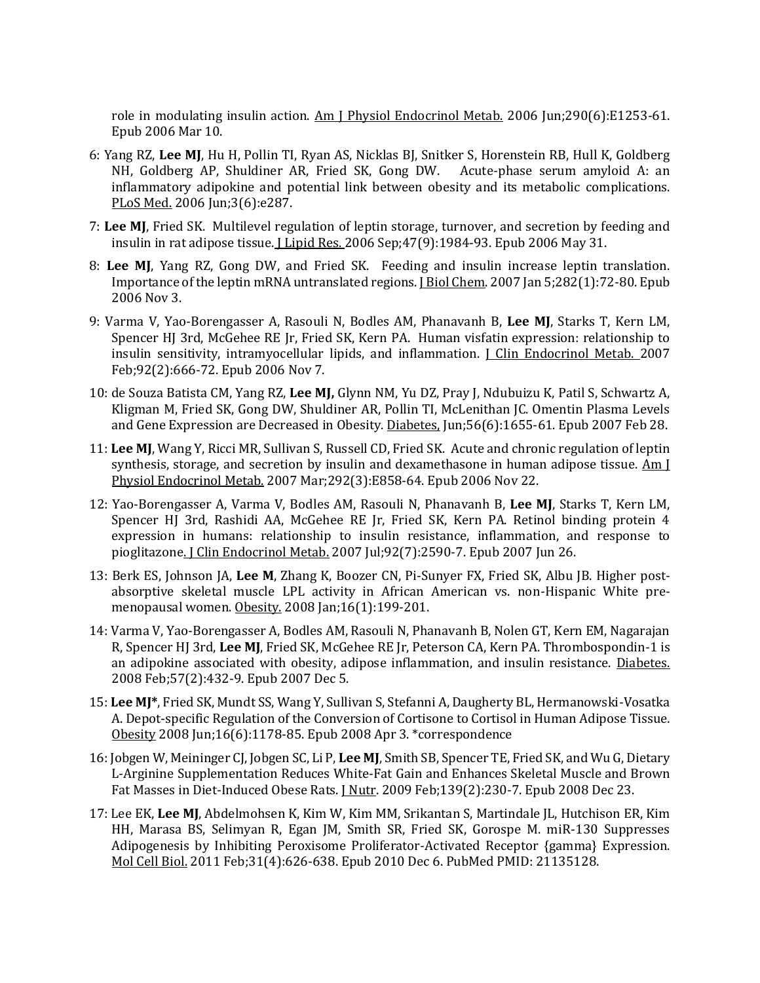role in modulating insulin action. Am J Physiol Endocrinol Metab. 2006 Jun;290(6):E1253-61. Epub 2006 Mar 10.

- 6: Yang RZ, **Lee MJ**, Hu H, Pollin TI, Ryan AS, Nicklas BJ, Snitker S, Horenstein RB, Hull K, Goldberg NH, Goldberg AP, Shuldiner AR, Fried SK, Gong DW. Acute-phase serum amyloid A: an inflammatory adipokine and potential link between obesity and its metabolic complications. PLoS Med. 2006 Jun;3(6):e287.
- 7: **Lee MJ**, Fried SK. Multilevel regulation of leptin storage, turnover, and secretion by feeding and insulin in rat adipose tissue. J Lipid Res. 2006 Sep;47(9):1984-93. Epub 2006 May 31.
- 8: **Lee MJ**, Yang RZ, Gong DW, and Fried SK. Feeding and insulin increase leptin translation. Importance of the leptin mRNA untranslated regions. J Biol Chem. 2007 Jan 5;282(1):72-80. Epub 2006 Nov 3.
- 9: Varma V, Yao-Borengasser A, Rasouli N, Bodles AM, Phanavanh B, **Lee MJ**, Starks T, Kern LM, Spencer HJ 3rd, McGehee RE Jr, Fried SK, Kern PA. Human visfatin expression: relationship to insulin sensitivity, intramyocellular lipids, and inflammation. *J Clin Endocrinol Metab.* 2007 Feb;92(2):666-72. Epub 2006 Nov 7.
- 10: de Souza Batista CM, Yang RZ, **Lee MJ,** Glynn NM, Yu DZ, Pray J, Ndubuizu K, Patil S, Schwartz A, Kligman M, Fried SK, Gong DW, Shuldiner AR, Pollin TI, McLenithan JC. Omentin Plasma Levels and Gene Expression are Decreased in Obesity. Diabetes, Jun;56(6):1655-61. Epub 2007 Feb 28.
- 11: **Lee MJ**, Wang Y, Ricci MR, Sullivan S, Russell CD, Fried SK. Acute and chronic regulation of leptin synthesis, storage, and secretion by insulin and dexamethasone in human adipose tissue. Am J Physiol Endocrinol Metab. 2007 Mar;292(3):E858-64. Epub 2006 Nov 22.
- 12: Yao-Borengasser A, Varma V, Bodles AM, Rasouli N, Phanavanh B, **Lee MJ**, Starks T, Kern LM, Spencer HJ 3rd, Rashidi AA, McGehee RE Jr, Fried SK, Kern PA. Retinol binding protein 4 expression in humans: relationship to insulin resistance, inflammation, and response to pioglitazone. *J Clin Endocrinol Metab.* 2007 Jul;92(7):2590-7. Epub 2007 Jun 26.
- 13: Berk ES, Johnson JA, **Lee M**, Zhang K, Boozer CN, Pi-Sunyer FX, Fried SK, Albu JB. Higher postabsorptive skeletal muscle LPL activity in African American vs. non-Hispanic White premenopausal women. Obesity. 2008 Jan;16(1):199-201.
- 14: Varma V, Yao-Borengasser A, Bodles AM, Rasouli N, Phanavanh B, Nolen GT, Kern EM, Nagarajan R, Spencer HJ 3rd, **Lee MJ**, Fried SK, McGehee RE Jr, Peterson CA, Kern PA. Thrombospondin-1 is an adipokine associated with obesity, adipose inflammation, and insulin resistance. Diabetes. 2008 Feb;57(2):432-9. Epub 2007 Dec 5.
- 15: **Lee MJ\***, Fried SK, Mundt SS, Wang Y, Sullivan S, Stefanni A, Daugherty BL, Hermanowski-Vosatka A. Depot-specific Regulation of the Conversion of Cortisone to Cortisol in Human Adipose Tissue*.*  Obesity 2008 Jun;16(6):1178-85. Epub 2008 Apr 3. \*correspondence
- 16: Jobgen W, Meininger CJ, Jobgen SC, Li P, **Lee MJ**, Smith SB, Spencer TE, Fried SK, and Wu G, Dietary L-Arginine Supplementation Reduces White-Fat Gain and Enhances Skeletal Muscle and Brown Fat Masses in Diet-Induced Obese Rats. *J Nutr.* 2009 Feb;139(2):230-7. Epub 2008 Dec 23.
- 17: Lee EK, **Lee MJ**, Abdelmohsen K, Kim W, Kim MM, Srikantan S, Martindale JL, Hutchison ER, Kim HH, Marasa BS, Selimyan R, Egan JM, Smith SR, Fried SK, Gorospe M. miR-130 Suppresses Adipogenesis by Inhibiting Peroxisome Proliferator-Activated Receptor {gamma} Expression. Mol Cell Biol. 2011 Feb;31(4):626-638. Epub 2010 Dec 6. PubMed PMID: 21135128.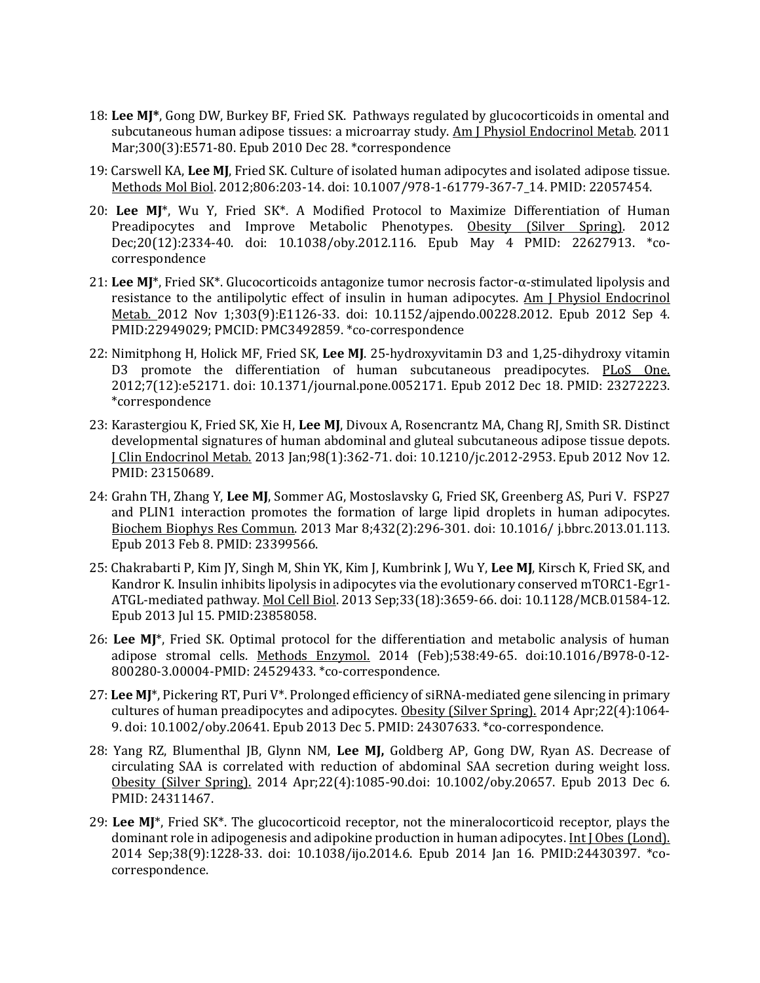- 18: **Lee MJ\***, Gong DW, Burkey BF, Fried SK. [Pathways regulated by glucocorticoids in omental and](http://www.ncbi.nlm.nih.gov/pubmed/21189358)  [subcutaneous human adipose tissues: a microarray study.](http://www.ncbi.nlm.nih.gov/pubmed/21189358) Am J Physiol Endocrinol Metab. 2011 Mar;300(3):E571-80. Epub 2010 Dec 28. \*correspondence
- 19: Carswell KA, **Lee MJ**, Fried SK. [Culture of isolated human adipocytes and isolated adipose](http://www.ncbi.nlm.nih.gov/pubmed/22057454) tissue. Methods Mol Biol. 2012;806:203-14. doi: 10.1007/978-1-61779-367-7\_14. PMID: 22057454.
- 20: **Lee MJ**\*, Wu Y, Fried SK\*. A Modified Protocol to Maximize Differentiation of Human Preadipocytes and Improve Metabolic Phenotypes. Obesity (Silver Spring). 2012 Dec;20(12):2334-40. doi: 10.1038/oby.2012.116. Epub May 4 PMID: 22627913. \*cocorrespondence
- 21: **Lee MJ**\*, Fried SK\*. Glucocorticoids antagonize tumor necrosis factor-α-stimulated lipolysis and resistance to the antilipolytic effect of insulin in human adipocytes. Am J Physiol Endocrinol Metab. 2012 Nov 1;303(9):E1126-33. doi: 10.1152/ajpendo.00228.2012. Epub 2012 Sep 4. PMID:22949029; PMCID: PMC3492859. \*co-correspondence
- 22: Nimitphong H, Holick MF, Fried SK, **Lee MJ**. 25-hydroxyvitamin D3 and 1,25-dihydroxy vitamin D3 promote the differentiation of human subcutaneous preadipocytes. PLoS One. 2012;7(12):e52171. doi: 10.1371/journal.pone.0052171. Epub 2012 Dec 18. PMID: 23272223. \*correspondence
- 23: Karastergiou K, Fried SK, Xie H, **Lee MJ**, Divoux A, Rosencrantz MA, Chang RJ, Smith SR. Distinct developmental signatures of human abdominal and gluteal subcutaneous adipose tissue depots. J Clin Endocrinol Metab. 2013 Jan;98(1):362-71. doi: 10.1210/jc.2012-2953. Epub 2012 Nov 12. PMID: 23150689.
- 24: Grahn TH, Zhang Y, **Lee MJ**, Sommer AG, Mostoslavsky G, Fried SK, Greenberg AS, Puri V. FSP27 and PLIN1 interaction promotes the formation of large lipid droplets in human adipocytes. Biochem Biophys Res Commun. 2013 Mar 8;432(2):296-301. doi: 10.1016/ j.bbrc.2013.01.113. Epub 2013 Feb 8. PMID: 23399566.
- 25: Chakrabarti P, Kim JY, Singh M, Shin YK, Kim J, Kumbrink J, Wu Y, **Lee MJ**, Kirsch K, Fried SK, and Kandror K. Insulin inhibits lipolysis in adipocytes via the evolutionary conserved mTORC1-Egr1- ATGL-mediated pathway. Mol Cell Biol. 2013 Sep;33(18):3659-66. doi: 10.1128/MCB.01584-12. Epub 2013 Jul 15. PMID:23858058.
- 26: **Lee MJ**\*, Fried SK. Optimal protocol for the differentiation and metabolic analysis of human adipose stromal cells. Methods Enzymol. 2014 (Feb);538:49-65. doi:10.1016/B978-0-12- 800280-3.00004-PMID: 24529433. \*co-correspondence.
- 27: **Lee MJ**\*, Pickering RT, Puri V\*. Prolonged efficiency of siRNA-mediated gene silencing in primary cultures of human preadipocytes and adipocytes. Obesity (Silver Spring). 2014 Apr;22(4):1064-9. doi: 10.1002/oby.20641. Epub 2013 Dec 5. PMID: 24307633. \*co-correspondence.
- 28: Yang RZ, Blumenthal JB, Glynn NM, **Lee MJ,** Goldberg AP, Gong DW, Ryan AS. Decrease of circulating SAA is correlated with reduction of abdominal SAA secretion during weight loss. Obesity (Silver Spring). 2014 Apr;22(4):1085-90.doi: 10.1002/oby.20657. Epub 2013 Dec 6. PMID: 24311467.
- 29: **Lee MJ**\*, Fried SK\*. The glucocorticoid receptor, not the mineralocorticoid receptor, plays the dominant role in adipogenesis and adipokine production in human adipocytes. Int J Obes (Lond). 2014 Sep;38(9):1228-33. doi: 10.1038/ijo.2014.6. Epub 2014 Jan 16. PMID:24430397. \*cocorrespondence.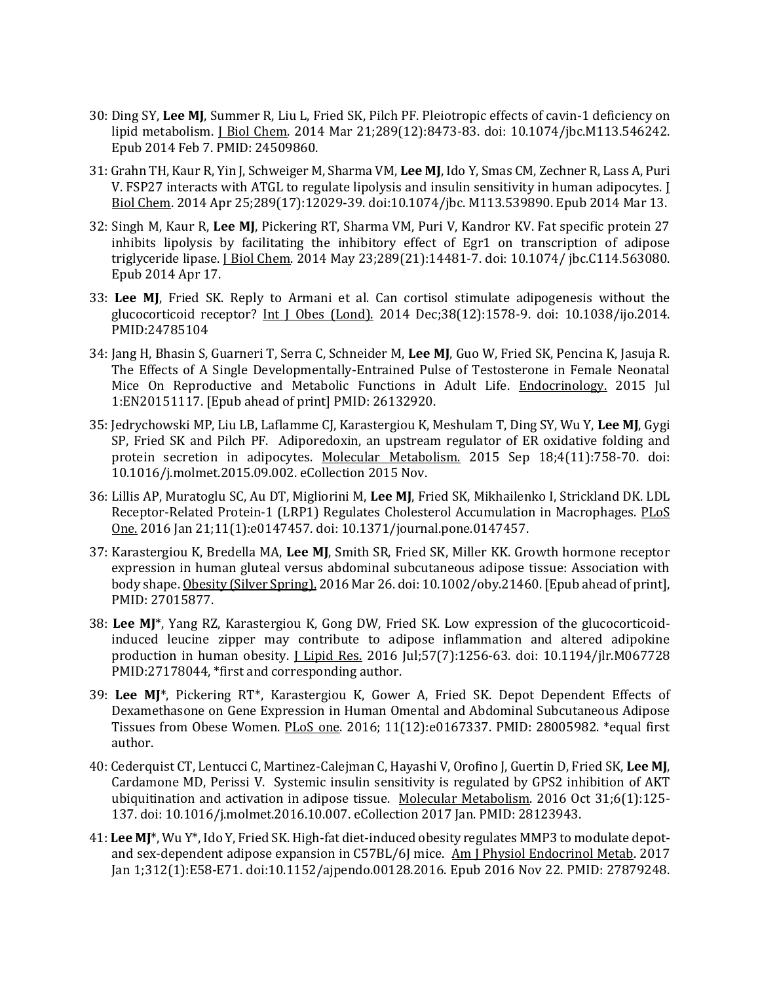- 30: Ding SY, **Lee MJ**, Summer R, Liu L, Fried SK, Pilch PF. Pleiotropic effects of cavin-1 deficiency on lipid metabolism. J Biol Chem. 2014 Mar 21;289(12):8473-83. doi: 10.1074/jbc.M113.546242. Epub 2014 Feb 7. PMID: 24509860.
- 31: Grahn TH, Kaur R, Yin J, Schweiger M, Sharma VM, **Lee MJ**, Ido Y, Smas CM, Zechner R, Lass A, Puri V. FSP27 interacts with ATGL to regulate lipolysis and insulin sensitivity in human adipocytes. J Biol Chem. 2014 Apr 25;289(17):12029-39. doi:10.1074/jbc. M113.539890. Epub 2014 Mar 13.
- 32: Singh M, Kaur R, **Lee MJ**, Pickering RT, Sharma VM, Puri V, Kandror KV. Fat specific protein 27 inhibits lipolysis by facilitating the inhibitory effect of Egr1 on transcription of adipose triglyceride lipase. J Biol Chem. 2014 May 23;289(21):14481-7. doi: 10.1074/ jbc.C114.563080. Epub 2014 Apr 17.
- 33: **Lee MJ**, Fried SK. Reply to Armani et al. Can cortisol stimulate adipogenesis without the glucocorticoid receptor? Int I Obes (Lond). 2014 Dec;38(12):1578-9. doi: 10.1038/ijo.2014. PMID:24785104
- 34: Jang H, Bhasin S, Guarneri T, Serra C, Schneider M, **Lee MJ**, Guo W, Fried SK, Pencina K, Jasuja R. The Effects of A Single Developmentally-Entrained Pulse of Testosterone in Female Neonatal Mice On Reproductive and Metabolic Functions in Adult Life. Endocrinology. 2015 Jul 1:EN20151117. [Epub ahead of print] PMID: 26132920.
- 35: Jedrychowski MP, Liu LB, Laflamme CJ, Karastergiou K, Meshulam T, Ding SY, Wu Y, **Lee MJ**, Gygi SP, Fried SK and Pilch PF. Adiporedoxin, an upstream regulator of ER oxidative folding and protein secretion in adipocytes. Molecular Metabolism. 2015 Sep 18;4(11):758-70. doi: 10.1016/j.molmet.2015.09.002. eCollection 2015 Nov.
- 36: Lillis AP, Muratoglu SC, Au DT, Migliorini M, **Lee MJ**, Fried SK, Mikhailenko I, Strickland DK. LDL Receptor-Related Protein-1 (LRP1) Regulates Cholesterol Accumulation in Macrophages. PLoS [One.](http://www.ncbi.nlm.nih.gov/pubmed/clipboard) 2016 Jan 21;11(1):e0147457. doi: 10.1371/journal.pone.0147457.
- 37: Karastergiou K, Bredella MA, **Lee MJ**, Smith SR, Fried SK, Miller KK. Growth hormone receptor expression in human gluteal versus abdominal subcutaneous adipose tissue: Association with body shape. Obesity (Silver Spring). 2016 Mar 26. doi: 10.1002/oby.21460. [Epub ahead of print], PMID: 27015877.
- 38: **Lee MJ**\*, Yang RZ, Karastergiou K, Gong DW, Fried SK. Low expression of the glucocorticoidinduced leucine zipper may contribute to adipose inflammation and altered adipokine production in human obesity. *Lipid Res.* 2016 Jul;57(7):1256-63. doi: 10.1194/jlr.M067728 PMID:27178044, \*first and corresponding author.
- 39: **Lee MJ**\*, Pickering RT\*, Karastergiou K, Gower A, Fried SK. Depot Dependent Effects of Dexamethasone on Gene Expression in Human Omental and Abdominal Subcutaneous Adipose Tissues from Obese Women. PLoS one. 2016; 11(12):e0167337. PMID: 28005982. \*equal first author.
- 40: Cederquist CT, Lentucci C, Martinez-Calejman C, Hayashi V, Orofino J, Guertin D, Fried SK, **Lee MJ**, Cardamone MD, Perissi V. Systemic insulin sensitivity is regulated by GPS2 inhibition of AKT ubiquitination and activation in adipose tissue. Molecular Metabolism. 2016 Oct 31;6(1):125-137. doi: 10.1016/j.molmet.2016.10.007. eCollection 2017 Jan. PMID: 28123943.
- 41: **Lee MJ**\*, Wu Y\*, Ido Y, Fried SK. High-fat diet-induced obesity regulates MMP3 to modulate depotand sex-dependent adipose expansion in C57BL/6J mice. Am J Physiol Endocrinol Metab. 2017 Jan 1;312(1):E58-E71. doi:10.1152/ajpendo.00128.2016. Epub 2016 Nov 22. PMID: 27879248.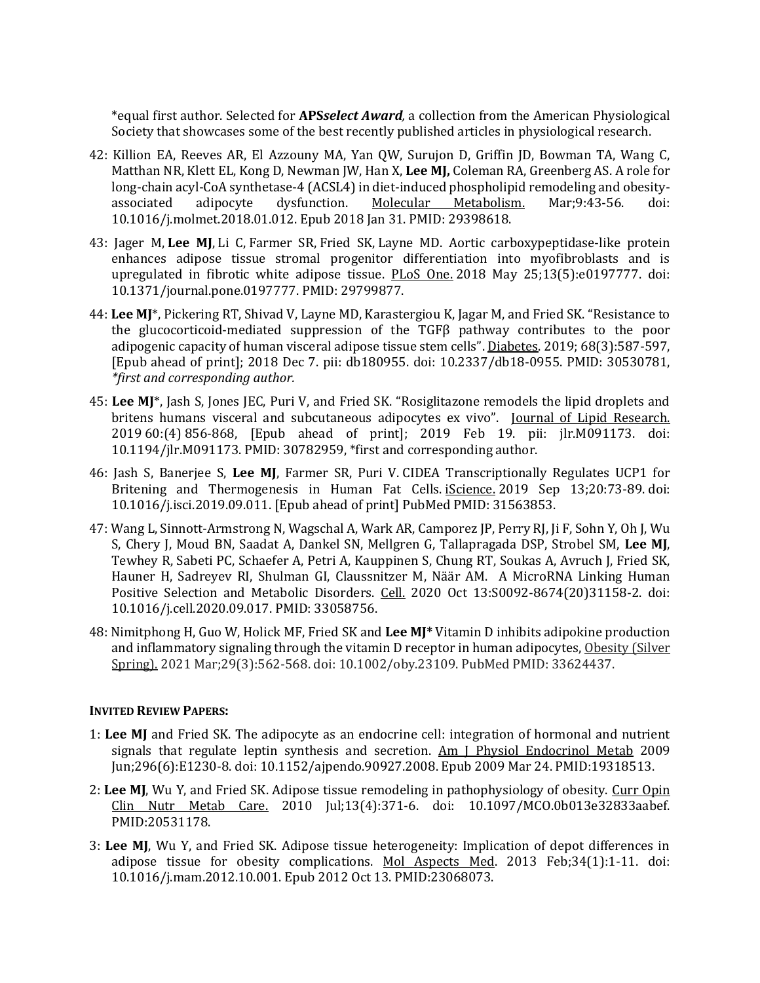\*equal first author. Selected for **APS***select Award,* a collection from the American Physiological Society that showcases some of the best recently published articles in physiological research.

- 42: Killion EA, Reeves AR, El Azzouny MA, Yan QW, Surujon D, Griffin JD, Bowman TA, Wang C, Matthan NR, Klett EL, Kong D, Newman JW, Han X, **Lee MJ,** Coleman RA, Greenberg AS. A role for long-chain acyl-CoA synthetase-4 (ACSL4) in diet-induced phospholipid remodeling and obesityassociated adipocyte dysfunction. Molecular Metabolism. Mar;9:43-56. doi: 10.1016/j.molmet.2018.01.012. Epub 2018 Jan 31. PMID: 29398618.
- 43: [Jager M,](https://www.ncbi.nlm.nih.gov/pubmed/?term=Jager%20M%5BAuthor%5D&cauthor=true&cauthor_uid=29799877) **[Lee MJ](https://www.ncbi.nlm.nih.gov/pubmed/?term=Lee%20MJ%5BAuthor%5D&cauthor=true&cauthor_uid=29799877)**, [Li C,](https://www.ncbi.nlm.nih.gov/pubmed/?term=Li%20C%5BAuthor%5D&cauthor=true&cauthor_uid=29799877) [Farmer SR,](https://www.ncbi.nlm.nih.gov/pubmed/?term=Farmer%20SR%5BAuthor%5D&cauthor=true&cauthor_uid=29799877) [Fried SK,](https://www.ncbi.nlm.nih.gov/pubmed/?term=Fried%20SK%5BAuthor%5D&cauthor=true&cauthor_uid=29799877) [Layne MD.](https://www.ncbi.nlm.nih.gov/pubmed/?term=Layne%20MD%5BAuthor%5D&cauthor=true&cauthor_uid=29799877) Aortic carboxypeptidase-like protein enhances adipose tissue stromal progenitor differentiation into myofibroblasts and is upregulated in fibrotic white adipose tissue. [PLoS One.](https://www.ncbi.nlm.nih.gov/pubmed/29799877) 2018 May 25;13(5):e0197777. doi: 10.1371/journal.pone.0197777. PMID: 29799877.
- 44: **Lee MJ**\*, Pickering RT, Shivad V, Layne MD, Karastergiou K, Jagar M, and Fried SK. "Resistance to the glucocorticoid-mediated suppression of the TGFβ pathway contributes to the poor adipogenic capacity of human visceral adipose tissue stem cells". [Diabetes.](https://www.ncbi.nlm.nih.gov/pubmed?term=Shibad%20V&cmd=correctspelling) 2019; 68(3):587-597, [Epub ahead of print]; 2018 Dec 7. pii: db180955. doi: 10.2337/db18-0955. PMID: 30530781, *\*first and corresponding author.*
- 45: **Lee MJ**\*, Jash S, Jones JEC, Puri V, and Fried SK. "Rosiglitazone remodels the lipid droplets and britens humans visceral and subcutaneous adipocytes ex vivo". Journal of Lipid Research. 2019 60:(4) 856-868, [Epub ahead of print]; 2019 Feb 19. pii: jlr.M091173. doi: 10.1194/jlr.M091173. PMID: 30782959, \*first and corresponding author.
- 46: Jash S, Banerjee S, **Lee MJ**, Farmer SR, Puri V. [CIDEA Transcriptionally Regulates UCP1 for](https://www.ncbi.nlm.nih.gov/pubmed/31563853/)  [Britening and Thermogenesis in Human Fat Cells.](https://www.ncbi.nlm.nih.gov/pubmed/31563853/) iScience. 2019 Sep 13;20:73-89. doi: 10.1016/j.isci.2019.09.011. [Epub ahead of print] PubMed PMID: 31563853.
- 47: Wang L, Sinnott-Armstrong N, Wagschal A, Wark AR, Camporez JP, Perry RJ, Ji F, Sohn Y, Oh J, Wu S, Chery J, Moud BN, Saadat A, Dankel SN, Mellgren G, Tallapragada DSP, Strobel SM, **Lee MJ**, Tewhey R, Sabeti PC, Schaefer A, Petri A, Kauppinen S, Chung RT, Soukas A, Avruch J, Fried SK, Hauner H, Sadreyev RI, Shulman GI, Claussnitzer M, Näär AM. [A MicroRNA Linking Human](https://pubmed.ncbi.nlm.nih.gov/33058756/)  [Positive Selection and Metabolic Disorders.](https://pubmed.ncbi.nlm.nih.gov/33058756/) Cell. 2020 Oct 13:S0092-8674(20)31158-2. doi: 10.1016/j.cell.2020.09.017. PMID: 33058756.
- 48: Nimitphong H, Guo W, Holick MF, Fried SK and **Lee MJ\*** Vitamin D inhibits adipokine production and inflammatory signaling through the vitamin D receptor in human adipocytes, Obesity (Silver Spring). 2021 Mar;29(3):562-568. doi: 10.1002/oby.23109. PubMed PMID: 33624437.

## **INVITED REVIEW PAPERS:**

- 1: **Lee MJ** and Fried SK. The adipocyte as an endocrine cell: integration of hormonal and nutrient signals that regulate leptin synthesis and secretion. Am J Physiol Endocrinol Metab 2009 Jun;296(6):E1230-8. doi: 10.1152/ajpendo.90927.2008. Epub 2009 Mar 24. PMID:19318513.
- 2: **Lee MJ**, Wu Y, and Fried SK. Adipose tissue remodeling in pathophysiology of obesity. Curr Opin Clin Nutr Metab Care. 2010 Jul;13(4):371-6. doi: 10.1097/MCO.0b013e32833aabef. PMID:20531178.
- 3: **Lee MJ**, Wu Y, and Fried SK. Adipose tissue heterogeneity: Implication of depot differences in adipose tissue for obesity complications. Mol Aspects Med. 2013 Feb;34(1):1-11. doi: 10.1016/j.mam.2012.10.001. Epub 2012 Oct 13. PMID:23068073.